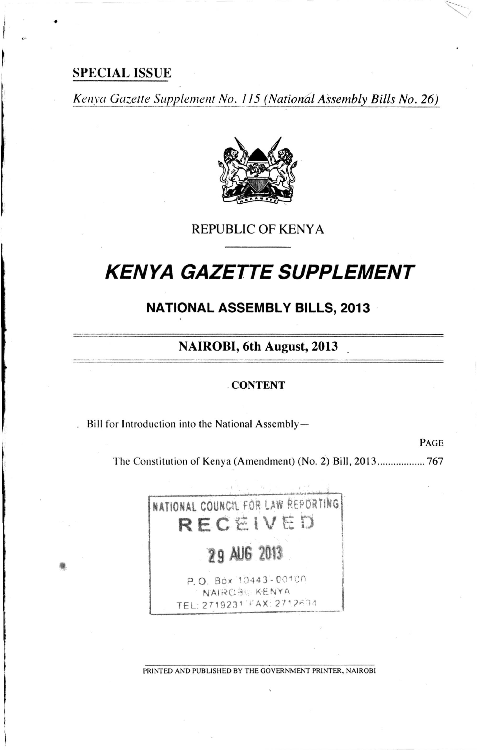## **SPECIAL ISSUE**

Kenya Gazette Supplement No. 115 (National Assembly Bills No. 26)



## **REPUBLIC OF KENYA**

# **KENYA GAZETTE SUPPLEMENT**

# **NATIONAL ASSEMBLY BILLS, 2013**

# **NAIROBI, 6th August, 2013**

#### **CONTENT**

Bill for Introduction into the National Assembly-

PAGE

The Constitution of Kenya (Amendment) (No. 2) Bill, 2013................... 767



PRINTED AND PUBLISHED BY THE GOVERNMENT PRINTER, NAIROBI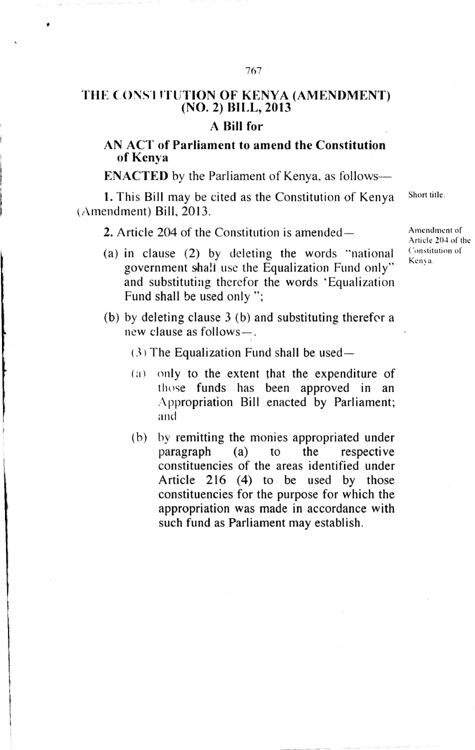# THE CONS'I ITUTION OF KENYA (AMENDMENT) (NO. 2) BILL, 2013

#### A Bill for

### AN ACT of Parliament to amend the Constitution of Kenya

ENACTED by the Parliament of Kenya, as follows-

1. This Bill may be cited as the Constitution of Kenya Short title. (Amendment) Bill, 2013.

2. Article 204 of the Constitution is amended-

- (a) in clause  $(2)$  by deleting the words "national government shall use the Equalization Fund only" and substituting therefor the words 'Equalization Fund shall be used only ";
- (b) by deleting clause 3 (b) and substituting therefor <sup>a</sup> new clause as follows-.
	- $(3)$  The Equalization Fund shall be used-
	- (a) only to the extent that the expenditure of those funds has been approved in an Appropriation Bill enacted by Parliament; and
	- (b) by remitting the monies appropriated under paragraph (a) to the respective constituencies of the areas identified under Article 216 (4) to be used by those constituencies for the purpose for which the appropriation was made in accordance with such fund as Parliament may establish.

Amendment of Articlc 20J of thc Constitution of Kenva.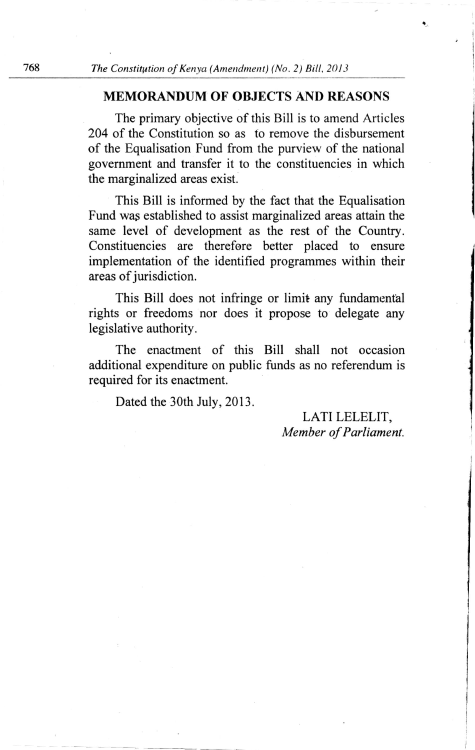## MEMORANDUM OF OBJECTS AND REASONS

The primary objective of this Bill is to amend Articles 204 of the Constitution so as to remove the disbursement of the Equalisation Fund from the purview of the national government and transfer it to the constituencies in which the marginalized areas exist.

This Bill is informed by the fact that the Equalisation Fund was established to assist marginalized areas attain the same level of development as the rest of the Country. Constituencies are therefore better placed to ensure implementation of the identified programmes within their areas of jurisdiction.

This Bill does not infringe or limit any fundamental rights or freedoms nor does it propose to delegate any legislative authority.

The enactment of this Bill shall not occasion additional expenditure on public funds as no referendum is required for its enactment.

Dated the 30th July, 2013.

LATI LELELIT, Member of Parliament.